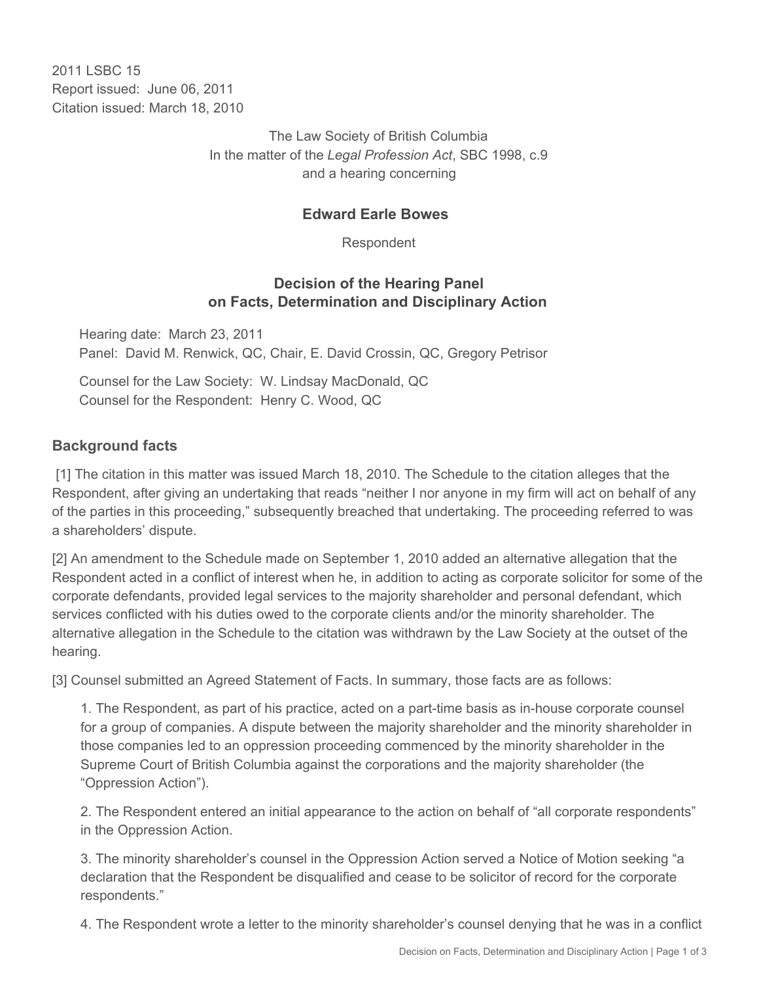2011 I SBC 15 Report issued: June 06, 2011 Citation issued: March 18, 2010

> The Law Society of British Columbia In the matter of the *Legal Profession Act*, SBC 1998, c.9 and a hearing concerning

#### **Edward Earle Bowes**

Respondent

### **Decision of the Hearing Panel on Facts, Determination and Disciplinary Action**

Hearing date: March 23, 2011 Panel: David M. Renwick, QC, Chair, E. David Crossin, QC, Gregory Petrisor

Counsel for the Law Society: W. Lindsay MacDonald, QC Counsel for the Respondent: Henry C. Wood, QC

#### **Background facts**

 [1] The citation in this matter was issued March 18, 2010. The Schedule to the citation alleges that the Respondent, after giving an undertaking that reads "neither I nor anyone in my firm will act on behalf of any of the parties in this proceeding," subsequently breached that undertaking. The proceeding referred to was a shareholders' dispute.

[2] An amendment to the Schedule made on September 1, 2010 added an alternative allegation that the Respondent acted in a conflict of interest when he, in addition to acting as corporate solicitor for some of the corporate defendants, provided legal services to the majority shareholder and personal defendant, which services conflicted with his duties owed to the corporate clients and/or the minority shareholder. The alternative allegation in the Schedule to the citation was withdrawn by the Law Society at the outset of the hearing.

[3] Counsel submitted an Agreed Statement of Facts. In summary, those facts are as follows:

1. The Respondent, as part of his practice, acted on a part-time basis as in-house corporate counsel for a group of companies. A dispute between the majority shareholder and the minority shareholder in those companies led to an oppression proceeding commenced by the minority shareholder in the Supreme Court of British Columbia against the corporations and the majority shareholder (the "Oppression Action").

2. The Respondent entered an initial appearance to the action on behalf of "all corporate respondents" in the Oppression Action.

3. The minority shareholder's counsel in the Oppression Action served a Notice of Motion seeking "a declaration that the Respondent be disqualified and cease to be solicitor of record for the corporate respondents."

4. The Respondent wrote a letter to the minority shareholder's counsel denying that he was in a conflict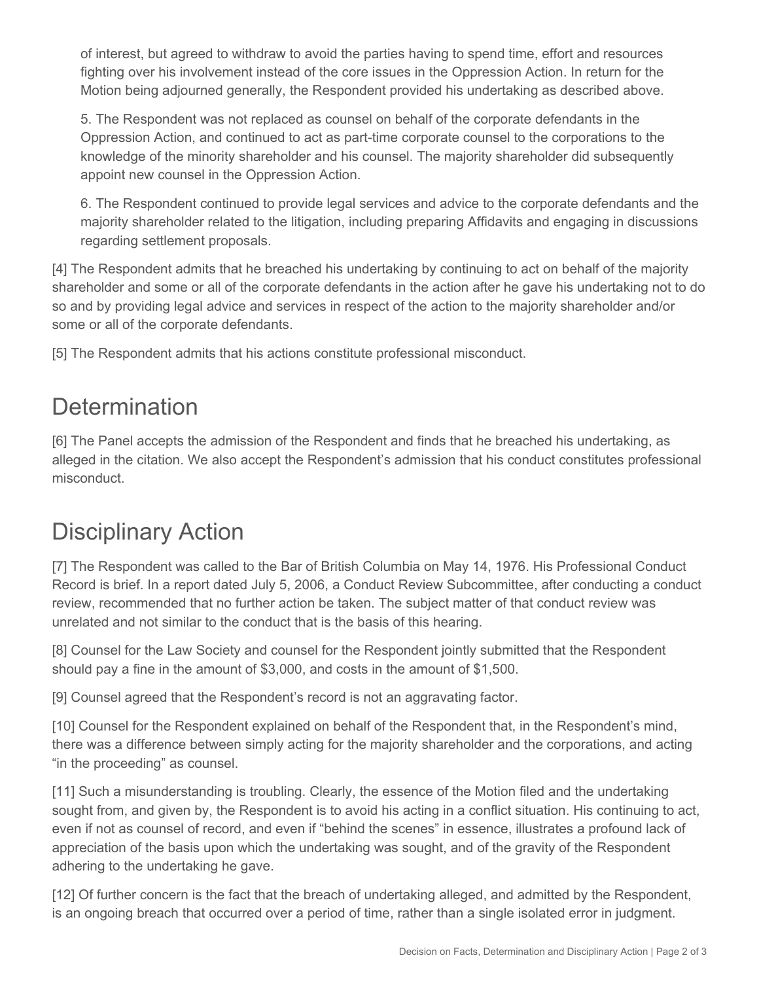of interest, but agreed to withdraw to avoid the parties having to spend time, effort and resources fighting over his involvement instead of the core issues in the Oppression Action. In return for the Motion being adjourned generally, the Respondent provided his undertaking as described above.

5. The Respondent was not replaced as counsel on behalf of the corporate defendants in the Oppression Action, and continued to act as part-time corporate counsel to the corporations to the knowledge of the minority shareholder and his counsel. The majority shareholder did subsequently appoint new counsel in the Oppression Action.

6. The Respondent continued to provide legal services and advice to the corporate defendants and the majority shareholder related to the litigation, including preparing Affidavits and engaging in discussions regarding settlement proposals.

[4] The Respondent admits that he breached his undertaking by continuing to act on behalf of the majority shareholder and some or all of the corporate defendants in the action after he gave his undertaking not to do so and by providing legal advice and services in respect of the action to the majority shareholder and/or some or all of the corporate defendants.

[5] The Respondent admits that his actions constitute professional misconduct.

## **Determination**

[6] The Panel accepts the admission of the Respondent and finds that he breached his undertaking, as alleged in the citation. We also accept the Respondent's admission that his conduct constitutes professional misconduct.

# Disciplinary Action

[7] The Respondent was called to the Bar of British Columbia on May 14, 1976. His Professional Conduct Record is brief. In a report dated July 5, 2006, a Conduct Review Subcommittee, after conducting a conduct review, recommended that no further action be taken. The subject matter of that conduct review was unrelated and not similar to the conduct that is the basis of this hearing.

[8] Counsel for the Law Society and counsel for the Respondent jointly submitted that the Respondent should pay a fine in the amount of \$3,000, and costs in the amount of \$1,500.

[9] Counsel agreed that the Respondent's record is not an aggravating factor.

[10] Counsel for the Respondent explained on behalf of the Respondent that, in the Respondent's mind, there was a difference between simply acting for the majority shareholder and the corporations, and acting "in the proceeding" as counsel.

[11] Such a misunderstanding is troubling. Clearly, the essence of the Motion filed and the undertaking sought from, and given by, the Respondent is to avoid his acting in a conflict situation. His continuing to act, even if not as counsel of record, and even if "behind the scenes" in essence, illustrates a profound lack of appreciation of the basis upon which the undertaking was sought, and of the gravity of the Respondent adhering to the undertaking he gave.

[12] Of further concern is the fact that the breach of undertaking alleged, and admitted by the Respondent, is an ongoing breach that occurred over a period of time, rather than a single isolated error in judgment.